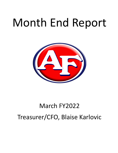# Month End Report



## March FY2022 Treasurer/CFO, Blaise Karlovic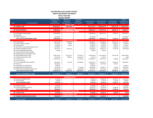#### **AUSTINTOWN LOCAL SCHOOL DISTRICT MONTH END REPORT FOR MARCH**

**FISCAL YEAR 2022**

| <b>BUDGET REPORT</b>     |                                                           |    |                                |               |                                   |                   |                                    |          |                                |      |                                   |    |                               |      |                      |
|--------------------------|-----------------------------------------------------------|----|--------------------------------|---------------|-----------------------------------|-------------------|------------------------------------|----------|--------------------------------|------|-----------------------------------|----|-------------------------------|------|----------------------|
|                          |                                                           |    | FISCAL YEAR 2022               |               | <b>PRIOR YEAR</b>                 | <b>FYTD BOARD</b> |                                    |          |                                |      |                                   |    |                               |      | <b>BUDGET</b>        |
|                          |                                                           |    | <b>ORIGINAL</b>                |               | <b>CARRYOVER</b>                  | <b>APPROVED</b>   |                                    |          | FISCAL YEAR 2022               |      | FISCAL YEAR 2022                  |    | <b>OUTSTANDING</b>            |      | <b>AVAILABLE FOR</b> |
| <b>FUND</b>              | <b>FUND DESCRIPTION</b>                                   |    | <b>APPROPRIATIONS</b>          |               | <b>ENCUMBRANCES</b>               | <b>AMENDMENTS</b> |                                    |          | <b>EXPENDABLE</b>              |      | <b>EXPENDITURES</b>               |    | <b>ENCUMBRANCES</b>           |      | <b>EXPENDITURE</b>   |
|                          |                                                           |    |                                |               | <b>GENERAL FUND</b>               |                   |                                    |          |                                |      |                                   |    |                               |      |                      |
|                          | 001 GENERAL FUND                                          | Ś. | 44,500,388.77 \$               |               | 215,222.28 \$                     |                   | $-5$                               |          |                                |      | 44,715,611.05 \$30,869,916.42 \$  |    | 1,805,371.09 \$ 12,040,323.54 |      |                      |
| <b>DEBT SERVICE FUND</b> |                                                           |    |                                |               |                                   |                   |                                    |          |                                |      |                                   |    |                               |      |                      |
|                          | 002 BOND RETIREMENT                                       | \$ | 3,809,666.91 \$                |               | $\Delta \sim 100$                 | \$                | $-5$                               |          |                                |      | 3,809,666.91 \$ 2,594,737.59 \$   |    | 408,447.10 \$                 |      | 806,482.22           |
|                          |                                                           |    |                                |               | <b>CAPITAL IMPROVEMENT FUNDS</b>  |                   |                                    |          |                                |      |                                   |    |                               |      |                      |
|                          | 003 PERMANENT IMPROVEMENT                                 | Ś  | 2,900,000.00                   | $\mathsf{S}$  |                                   | Ś                 | $\sim$                             | \$       | 2,900,000.00 \$                |      | 1,058,327.54 \$                   |    | 97,603.25 \$                  |      | 1,744,069.21         |
|                          | 004 BUILDING                                              |    |                                | Ś             |                                   |                   |                                    | \$       |                                | Ŝ    |                                   | Ś  |                               | \$   |                      |
|                          | 070 CAPITAL PROJECTS                                      |    | 100,000.00                     | -\$           |                                   |                   |                                    | \$       | 100,000.00                     | - \$ |                                   |    |                               | Ś    | 100,000.00           |
|                          | TOTAL CAPITAL IMPROVEMENT FUNDS                           |    | 3,000,000.00 \$                |               |                                   |                   |                                    |          |                                |      | 3,000,000.00 \$ 1,058,327.54 \$   |    | 97,603.25 \$                  |      | 1,844,069.21         |
|                          |                                                           |    |                                |               | <b>SPECIAL REVENUE FUNDS</b>      |                   |                                    |          |                                |      |                                   |    |                               |      |                      |
|                          | 006 FOOD SERVICE                                          |    | 1,750,718.39 \$                |               | 47,348.58 \$                      |                   |                                    | \$       | 1,798,066.97 \$                |      | 1,379,385.94 \$                   |    | 372,911.32 \$                 |      | 45,769.71            |
|                          | 018 PUBLIC SCHOOL SUPPORT                                 |    | 132,052.45                     | - \$          | 834.00                            | - Ś               |                                    | \$       | 132,886.45 \$                  |      | 72,899.80 \$                      |    | 28,786.16 \$                  |      | 31,200.49            |
|                          | 019 OTHER GRANT                                           |    | 38,000.00 \$                   |               | 583.02                            | -\$               |                                    | Ś        | 38,583.02 \$                   |      | $31,100.61$ \$                    |    | 3,064.07 \$                   |      | 4,418.34             |
|                          | 034 OSFC PROJ-.5 MILLS MAINTENANCE FUND                   |    | 297,408.19                     | - \$          |                                   | Ś                 |                                    | Ś        | 297,408.19 \$                  |      | 52,062.04                         | -S | 21,632.86 \$                  |      | 223,713.29           |
|                          | 300 DISTRICT MANAGED ACTIVITY                             |    | 330,743.15                     | - \$          | 16,101.46                         | .S                |                                    |          | 346,844.61 \$                  |      | 333,423.37 \$                     |    | 75,437.68                     | - \$ | (62,016.44)          |
|                          | 451 DATA COMMUNICATION FUND                               |    | 7,200.00                       | $\frac{1}{2}$ |                                   |                   |                                    |          | 7,200.00                       | - S  | 7,200.00                          | -S |                               |      |                      |
|                          | 467 STUDENT SUCCESS AND WELLNESS                          |    |                                | \$            |                                   |                   |                                    |          |                                | Ŝ    |                                   | .s |                               |      |                      |
|                          | 499 MISCELLANEOUS STATE GRANT FUND                        |    |                                |               |                                   |                   |                                    |          |                                |      |                                   | \$ |                               |      |                      |
|                          | 507 ESSER FEDERAL RELIEF FUND                             |    | 8,446,104.25                   | - \$          | 422,243.51 \$                     |                   | 670,749.72                         | - Ś      | 9,539,097.48                   | .S   | 3,163,495.40                      |    | 335,457.60                    | Ś    | 6,040,144.48         |
|                          | 510 CORONA VIRUS RELIEF FUND                              |    | 119,337.43                     | - Ś           |                                   | - Ś               |                                    |          | 5,013.93                       | - S  | 5,013.93                          | -S |                               | Ŝ    |                      |
|                          | 516 FY19 Title VI-B                                       |    | 1,092,900.53                   | - \$          | 9,666.67                          | Ś                 | $(123,990.17)$ \$<br>215,932.64 \$ |          | 1,308,833.17                   | - \$ | 844,374.25                        | -S | 9,200.00                      | -\$  | (0.00)<br>455,258.92 |
|                          | 551 FY20 TITLE III LEP                                    |    |                                | Ś             |                                   | Ś                 |                                    | \$       |                                | Ŝ    |                                   | Ŝ. |                               | Ŝ    |                      |
|                          | 572 TITLE I DISADVANTAGED STUDENTS                        |    | 907,190.81 \$                  |               | 1,279.58                          |                   | 298,486.84                         | -\$      | 1,206,957.23                   | - Ś  | 498,740.01                        | .s | 68,256.31 \$                  |      | 639,960.91           |
|                          | 584 TITLE IV-A                                            |    | 109,085.15 \$                  |               |                                   | -\$               |                                    | Ś        | 109,085.15 \$                  |      | 60,174.33                         | .s | 1,939.76                      |      |                      |
|                          | 587 IDEA SPECIAL ED. PRESCHOOL                            |    | 15,998.15                      |               |                                   |                   |                                    | \$       | 15,998.15 \$                   |      |                                   | Ŝ. |                               | -\$  | 15,998.15            |
|                          | 590 IMPROVING TEACHER QUALITY                             |    | 165,350.38 \$                  |               |                                   |                   |                                    |          | 236,509.04 \$                  |      | 114,994.71 \$                     |    | 684.00 \$                     |      | 120,830.33           |
|                          | 599 MISCELLANEOUS FEDERAL GRANT FUND                      |    | 190,965.20 \$                  |               | 7,143.11 \$                       |                   | 71,158.66                          | - \$     | 134,058.37 \$                  |      |                                   | -Ś |                               |      |                      |
|                          |                                                           |    |                                |               |                                   |                   | $(64,049.94)$ \$                   |          |                                |      | 80,275.60                         |    | 11,538.20 \$                  |      | 42,244.57            |
|                          | TOTAL SPECIAL REVENUE FUNDS                               |    | 13,603,054.08 \$               |               | 505,199.93 \$                     |                   | 1,068,287.75 \$                    |          | 15,176,541.76 \$               |      | 6,643,139.99 \$                   |    | 928,907.96 \$                 |      | 7,557,522.75         |
|                          | <b>TOTAL ALL GOVERNMENTAL FUNDS</b>                       | Ŝ. | 64,913,109.76 \$               |               | 720,422.21 \$                     |                   | 1,068,287.75 \$                    |          |                                |      | 66,701,819.72 \$ 41,166,121.54 \$ |    | 3,240,329.40 \$ 22,248,397.72 |      |                      |
|                          |                                                           |    |                                |               |                                   |                   |                                    |          |                                |      |                                   |    |                               |      |                      |
|                          |                                                           |    |                                |               | <b>ENTERPRISE FUNDS</b>           |                   |                                    |          |                                |      |                                   |    |                               |      |                      |
|                          | 020 SPECIAL ENTERPRISE FUND                               | Ś  | 71,701.00 \$                   |               |                                   | \$                | $\omega$                           | \$       | 71,701.00 \$                   |      | 42,439.26 \$                      |    | 13,110.72 \$                  |      | 16,151.02            |
|                          | 011 FALCON STORE                                          |    | $3,000.00$ \$                  |               |                                   |                   |                                    | \$       | $3,000.00$ \$                  |      | $2,125.00$ \$                     |    | $2,225.00$ \$                 |      | 3,000.00             |
|                          | <b>TOTAL ENTERPRISE FUNDS</b>                             |    | 74,701.00 \$                   |               |                                   |                   |                                    | Ś        | 74,701.00 \$                   |      | 44,564.26 \$                      |    | 15,335.72 \$                  |      | 19,151.02            |
|                          |                                                           |    |                                |               | n                                 |                   |                                    |          |                                |      |                                   |    |                               |      |                      |
|                          | 022 DISTRICT AGENCY                                       | \$ | 27,000.00 \$                   |               |                                   | \$                |                                    | \$       | 27,000.00 \$                   |      | 13,199.11 \$                      |    | $\omega_{\rm{max}}$           | \$   | 13,800.89            |
|                          |                                                           |    |                                |               |                                   |                   |                                    |          |                                |      |                                   |    |                               |      |                      |
|                          | 200 STUDENT MANAGED ACTIVITY<br><b>TOTAL AGENCY FUNDS</b> | Ś  | 182,628.28 \$<br>209,628.28 \$ |               |                                   | Ś                 |                                    | \$<br>\$ | 182,628.28 \$<br>209,628.28 \$ |      | 56,134.94 \$<br>69,334.05 \$      |    | 65,948.68 \$                  |      | 60,544.66            |
|                          |                                                           |    |                                |               | <b>PRIVATE PURPOSE TRUST FUND</b> |                   |                                    |          |                                |      |                                   |    | 65,948.68 \$                  |      | 74,345.55            |
|                          | 007 SPECIAL TRUST                                         | \$ |                                |               |                                   | \$                | $-5$                               |          | 23,700.00 \$                   |      | 20,081.00 \$                      |    | $3,645.00$ \$                 |      |                      |
|                          |                                                           |    | 23,700.00 \$                   |               | <b>INTERNAL SERVICE FUND</b>      |                   |                                    |          |                                |      |                                   |    |                               |      | (26.00)              |
|                          | 027 WORKERS COMPENSATION ACCOUNT                          | \$ | 150,000.00 \$                  |               |                                   | \$.               | $-5$                               |          | 150,000.00 \$                  |      | 121,891.00 \$                     |    | $\sim 100$                    | Ŝ.   | 28,109.00            |
|                          |                                                           |    |                                |               |                                   |                   |                                    |          |                                |      |                                   |    |                               |      |                      |
|                          | <b>TOTAL ALL FUNDS</b>                                    | Ŝ. | 65,368,139.04 \$               |               | 720,422.21 \$                     |                   | 1,068,287.75 \$                    |          |                                |      | 67,159,849.00 \$ 41,421,991.85 \$ |    | 3,325,258.80 \$ 22,366,977.29 |      |                      |
|                          |                                                           |    |                                |               |                                   |                   |                                    |          |                                |      |                                   |    |                               |      |                      |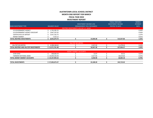#### **AUSTINTOWN LOCAL SCHOOL DISTRICT MONTH END REPORT FOR MARCH FISCAL YEAR 2022 INVESTMENT REPORT**

 $F = F \cdot F$ 

| <b>TOTAL REDTREE INVESTMENTS</b> | 8,055,679.74         |                                       | 15,020.28                        | 115,557.83               | 1.55%           |
|----------------------------------|----------------------|---------------------------------------|----------------------------------|--------------------------|-----------------|
| <b>MONEY MARKET</b>              | 7,533.12             |                                       |                                  |                          | 0.01%           |
| <b>CERTIFICATES OF DEPOSIT</b>   | 3,457,762.75         |                                       |                                  |                          | 2.37%           |
| US GOVERNMENT AGENCY DISCOUNT    | 2,847,101.62         |                                       |                                  |                          | 0.56%           |
| US GOVERNMENT AGENCY             | 1,743,282.25         |                                       |                                  |                          | 0.44%           |
|                                  |                      | REDTREE INVESTMENTS HELD BY U.S. BANK |                                  |                          |                 |
| <b>BANK INVESTMENT TYPE</b>      | <b>BALANCE VALUE</b> |                                       | <b>MANAGEMENT FEES FOR MARCH</b> | POSTED TO DATE           | <b>RATE</b>     |
|                                  |                      |                                       | <b>INVESTMENT INCOME LESS</b>    | <b>INVESTMENT INCOME</b> | <b>INTEREST</b> |
|                                  |                      |                                       |                                  | <b>FISCAL YEAR 2022</b>  | <b>MARCH</b>    |

|                                                   |                                | <b>SECURITIES</b> |           |            |       |
|---------------------------------------------------|--------------------------------|-------------------|-----------|------------|-------|
| <b>SECURITIES</b><br>ገP.<br>HILL.<br>JL UNIILJ    | $200E10E2$<br>4,308,548.6∠     |                   | 3,547.02  | .478.44    | 0.43% |
| L REDTREE AND HILLTOP INVESTMENTS<br><b>TOTAL</b> | ,371,761.48<br>12.271<br>- 14, |                   | 18,567.30 | 127,036.27 | 2.03% |

|                                    |                 | <b>MONEY MARKET ACCOUNTS</b> |           |            |       |
|------------------------------------|-----------------|------------------------------|-----------|------------|-------|
| <b>STAR OHIO</b>                   | 108,666.59      |                              | 13.07     | 63.52      | 0.07% |
| <b>FARMERS NATIONAL BANK</b>       | 19,039,326.94   |                              | 3.527.83  | 18.619.66  | 0.25% |
| <b>TOTAL MONEY MARKET ACCOUNTS</b> | \$19,147,993.53 |                              | 3.540.90  | 18.683.18  | 0.70% |
|                                    |                 |                              |           |            |       |
| <b>TOTAL INVESTMENTS</b>           | 27,203,673.27 ( |                              | 22,108.20 | 145,719.45 |       |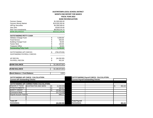#### **AUSTINTOWN LOCAL SCHOOL DISTRICT MONTH END REPORT FOR MARCH**

**FISCAL YEAR 2022**

**BANK RECONCILIATION**

| <b>Farmers Sweep</b>               | \$1,500,000.00      |
|------------------------------------|---------------------|
| <b>Farmers Money Market</b>        | \$19,039,326.94     |
| <b>HillTop Securities</b>          | \$4,308,548.62      |
| Star Ohio                          | \$108,679.66        |
| <b>Red Tree Investments</b>        | \$8,055,679.74      |
| <b>BANK BALANCES</b>               | \$33,012,234.96     |
|                                    |                     |
| <b>OUTSTANDING PETTY CASH</b>      |                     |
| <b>Athletics Change Fund</b>       | \$<br>5,000.00      |
| <b>Food Service</b>                | \$<br>550.00        |
| <b>Building Change Fund</b>        | \$<br>50.00         |
| <b>Faclon Nest</b>                 | \$<br>100.00        |
| <b>Treasurer Office</b>            | \$<br>50.00         |
| <b>Outstanding Petty Cash</b>      | \$<br>5,750.00      |
|                                    |                     |
| <b>OUTSTANDING A/P CHECKS</b>      | \$<br>(793, 370.55) |
| <b>OUSTANDING PAYROLL CHECKS</b>   |                     |
| AP RECON                           | \$<br>(34, 392.85)  |
| <b>PAYROLL RECON</b>               | \$<br>451.04        |
| <b>BANK BALANCE</b>                | 32,190,672.60       |
|                                    |                     |
| <b>FUND BALANCE</b>                | 32,190,672.60       |
| <b>Bank Balance = Fund Balance</b> | 0.00                |
|                                    |                     |

|                                       | <b>OUTSTANDING A/P CHECK CALCULATION:</b>       |              | <b>OUTSTANDING Payroll CHECK CALCULATION:</b> |  |    |        |  |  |
|---------------------------------------|-------------------------------------------------|--------------|-----------------------------------------------|--|----|--------|--|--|
| <b>Current A/P Outstanding Checks</b> |                                                 |              | <b>Current Payroll Outstanding Checks</b>     |  |    |        |  |  |
|                                       |                                                 |              |                                               |  |    |        |  |  |
|                                       | <b>OUTSTANDING A/P CORRECTIONS CALCULATION:</b> |              |                                               |  |    |        |  |  |
| Deposits in Transit                   | <b>HUNTINGTON AND SERS</b>                      | (1,040.00)   |                                               |  | \$ | 451.04 |  |  |
| <b>ITITAN PAYMENTS</b>                |                                                 | 385.94       |                                               |  |    |        |  |  |
| <b>SAFETY GRANT</b>                   |                                                 | (22, 862.33) |                                               |  |    |        |  |  |
| Commerce Bank                         |                                                 | (11, 724.58) |                                               |  |    |        |  |  |
| Payroll Account Transfer              |                                                 | 848.12       |                                               |  |    |        |  |  |
|                                       |                                                 |              |                                               |  |    |        |  |  |
|                                       |                                                 |              |                                               |  |    |        |  |  |
| <b>Total A/P</b>                      |                                                 |              | <b>Total Payroll</b>                          |  |    |        |  |  |
| <b>Corrections</b>                    |                                                 | (34, 392.85) | <b>Corrections</b>                            |  |    | 451.04 |  |  |
|                                       |                                                 |              |                                               |  |    |        |  |  |

**Corrections 451.04**